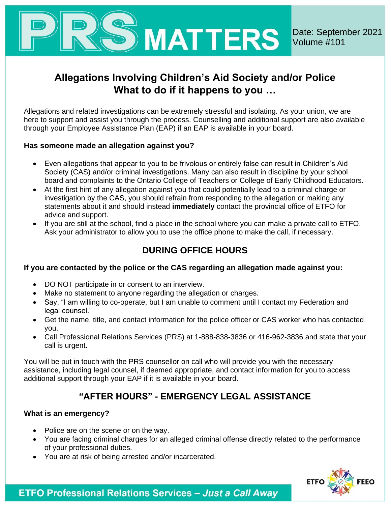

# **Allegations Involving Children's Aid Society and/or Police What to do if it happens to you …**

Allegations and related investigations can be extremely stressful and isolating. As your union, we are here to support and assist you through the process. Counselling and additional support are also available through your Employee Assistance Plan (EAP) if an EAP is available in your board.

### **Has someone made an allegation against you?**

- Even allegations that appear to you to be frivolous or entirely false can result in Children's Aid Society (CAS) and/or criminal investigations. Many can also result in discipline by your school board and complaints to the Ontario College of Teachers or College of Early Childhood Educators.
- At the first hint of any allegation against you that could potentially lead to a criminal charge or investigation by the CAS, you should refrain from responding to the allegation or making any statements about it and should instead **immediately** contact the provincial office of ETFO for advice and support.
- If you are still at the school, find a place in the school where you can make a private call to ETFO. Ask your administrator to allow you to use the office phone to make the call, if necessary.

# **DURING OFFICE HOURS**

# **If you are contacted by the police or the CAS regarding an allegation made against you:**

- DO NOT participate in or consent to an interview.
- Make no statement to anyone regarding the allegation or charges.
- Say, "I am willing to co-operate, but I am unable to comment until I contact my Federation and legal counsel."
- Get the name, title, and contact information for the police officer or CAS worker who has contacted you.
- Call Professional Relations Services (PRS) at 1-888-838-3836 or 416-962-3836 and state that your call is urgent.

You will be put in touch with the PRS counsellor on call who will provide you with the necessary assistance, including legal counsel, if deemed appropriate, and contact information for you to access additional support through your EAP if it is available in your board.

# **"AFTER HOURS" - EMERGENCY LEGAL ASSISTANCE**

# **What is an emergency?**

- Police are on the scene or on the way.
- You are facing criminal charges for an alleged criminal offense directly related to the performance of your professional duties.
- You are at risk of being arrested and/or incarcerated.



**ETFO Professional Relations Services - Just a Call Away**